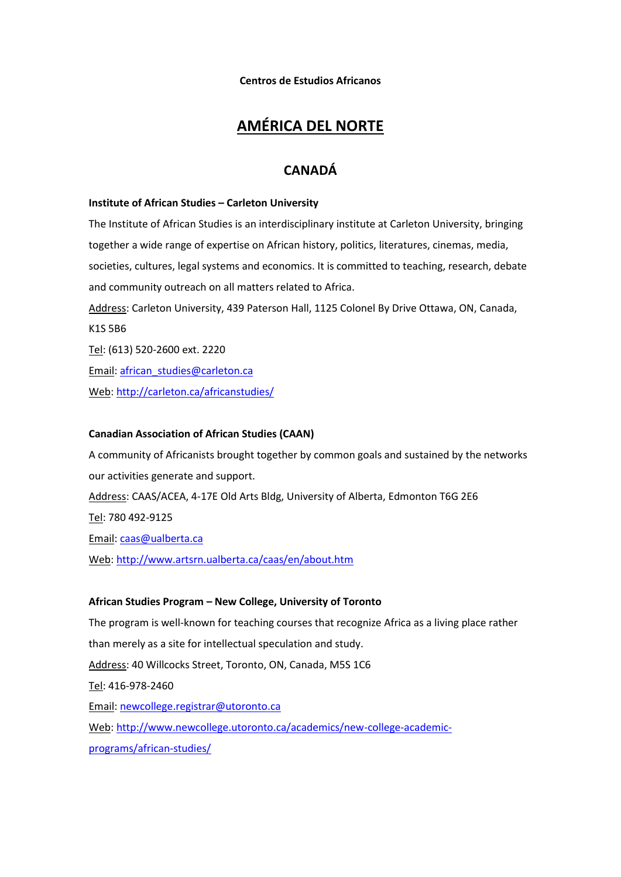**Centros de Estudios Africanos**

## **AMÉRICA DEL NORTE**

## **CANADÁ**

#### **Institute of African Studies – Carleton University**

The Institute of African Studies is an interdisciplinary institute at Carleton University, bringing together a wide range of expertise on African history, politics, literatures, cinemas, media, societies, cultures, legal systems and economics. It is committed to teaching, research, debate and community outreach on all matters related to Africa. Address: Carleton University, 439 Paterson Hall, 1125 Colonel By Drive Ottawa, ON, Canada, K1S 5B6 Tel: (613) 520-2600 ext. 2220 Email: [african\\_studies@carleton.ca](mailto:african_studies@carleton.ca)

Web[: http://carleton.ca/africanstudies/](http://carleton.ca/africanstudies/)

## **Canadian Association of African Studies (CAAN)**

A community of Africanists brought together by common goals and sustained by the networks our activities generate and support. Address: CAAS/ACEA, 4-17E Old Arts Bldg, University of Alberta, Edmonton T6G 2E6 Tel: 780 492-9125 Email: [caas@ualberta.ca](mailto:caas@ualberta.ca) Web[: http://www.artsrn.ualberta.ca/caas/en/about.htm](http://www.artsrn.ualberta.ca/caas/en/about.htm)

#### **African Studies Program – New College, University of Toronto**

The program is well-known for teaching courses that recognize Africa as a living place rather than merely as a site for intellectual speculation and study. Address: 40 Willcocks Street, Toronto, ON, Canada, M5S 1C6 Tel: 416-978-2460 Email: [newcollege.registrar@utoronto.ca](mailto:newcollege.registrar@utoronto.ca) Web[: http://www.newcollege.utoronto.ca/academics/new-college-academic](http://www.newcollege.utoronto.ca/academics/new-college-academic-programs/african-studies/)[programs/african-studies/](http://www.newcollege.utoronto.ca/academics/new-college-academic-programs/african-studies/)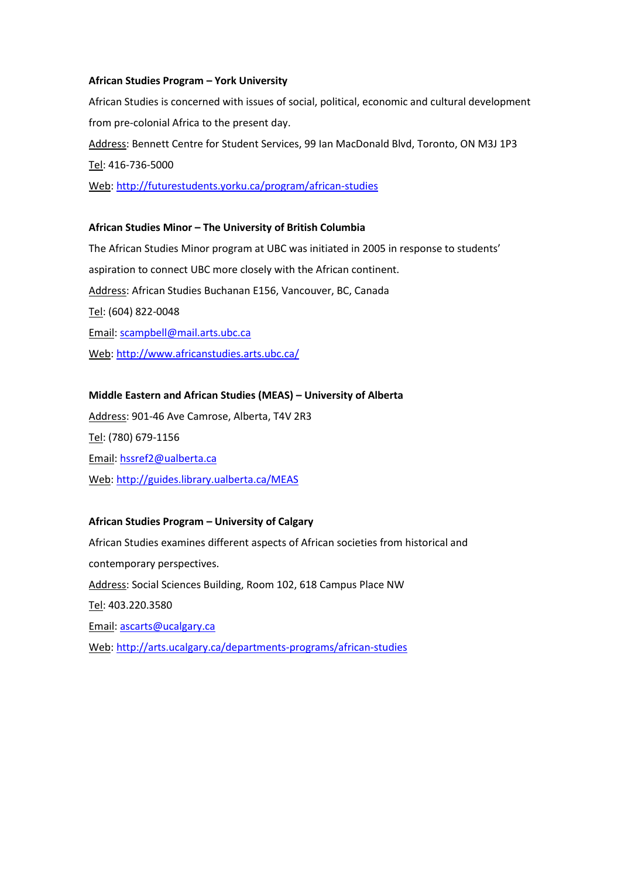## **African Studies Program – York University**

African Studies is concerned with issues of social, political, economic and cultural development from pre-colonial Africa to the present day. Address: Bennett Centre for Student Services, 99 Ian MacDonald Blvd, Toronto, ON M3J 1P3 Tel: 416-736-5000 Web[: http://futurestudents.yorku.ca/program/african-studies](http://futurestudents.yorku.ca/program/african-studies)

# **African Studies Minor – The University of British Columbia**

The African Studies Minor program at UBC was initiated in 2005 in response to students' aspiration to connect UBC more closely with the African continent. Address: African Studies Buchanan E156, Vancouver, BC, Canada Tel: (604) 822-0048 Email: [scampbell@mail.arts.ubc.ca](mailto:scampbell@mail.arts.ubc.ca) Web[: http://www.africanstudies.arts.ubc.ca/](http://www.africanstudies.arts.ubc.ca/)

## **Middle Eastern and African Studies (MEAS) – University of Alberta**

Address: 901-46 Ave Camrose, Alberta, T4V 2R3 Tel: (780) 679-1156 Email: [hssref2@ualberta.ca](mailto:hssref2@ualberta.ca) Web[: http://guides.library.ualberta.ca/MEAS](http://guides.library.ualberta.ca/MEAS)

## **African Studies Program – University of Calgary**

African Studies examines different aspects of African societies from historical and contemporary perspectives. Address: Social Sciences Building, Room 102, 618 Campus Place NW Tel: 403.220.3580 Email: [ascarts@ucalgary.ca](mailto:ascarts@ucalgary.ca) Web[: http://arts.ucalgary.ca/departments-programs/african-studies](http://arts.ucalgary.ca/departments-programs/african-studies)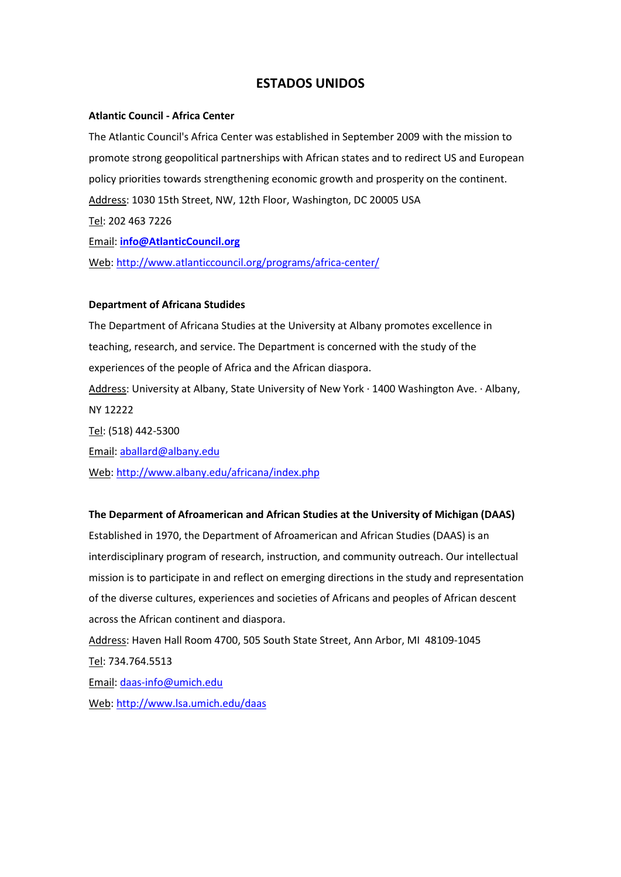## **ESTADOS UNIDOS**

#### **Atlantic Council - Africa Center**

The Atlantic Council's Africa Center was established in September 2009 with the mission to promote strong geopolitical partnerships with African states and to redirect US and European policy priorities towards strengthening economic growth and prosperity on the continent. Address: 1030 15th Street, NW, 12th Floor, Washington, DC 20005 USA Tel: 202 463 7226 Email: **[info@AtlanticCouncil.org](mailto:info@AtlanticCouncil.org)**

Web[: http://www.atlanticcouncil.org/programs/africa-center/](http://www.atlanticcouncil.org/programs/africa-center/)

#### **Department of Africana Studides**

The Department of Africana Studies at the University at Albany promotes excellence in teaching, research, and service. The Department is concerned with the study of the experiences of the people of Africa and the African diaspora. Address: University at Albany, State University of New York · 1400 Washington Ave. · Albany, NY 12222 Tel: (518) 442-5300 Email: [aballard@albany.edu](mailto:aballard@albany.edu)

Web[: http://www.albany.edu/africana/index.php](http://www.albany.edu/africana/index.php)

#### **The Deparment of Afroamerican and African Studies at the University of Michigan (DAAS)**

Established in 1970, the Department of Afroamerican and African Studies (DAAS) is an interdisciplinary program of research, instruction, and community outreach. Our intellectual mission is to participate in and reflect on emerging directions in the study and representation of the diverse cultures, experiences and societies of Africans and peoples of African descent across the African continent and diaspora.

Address: Haven Hall Room 4700, 505 South State Street, Ann Arbor, MI 48109-1045 Tel: 734.764.5513 Email: [daas-info@umich.edu](mailto:daas-info@umich.edu) Web[: http://www.lsa.umich.edu/daas](http://www.lsa.umich.edu/daas)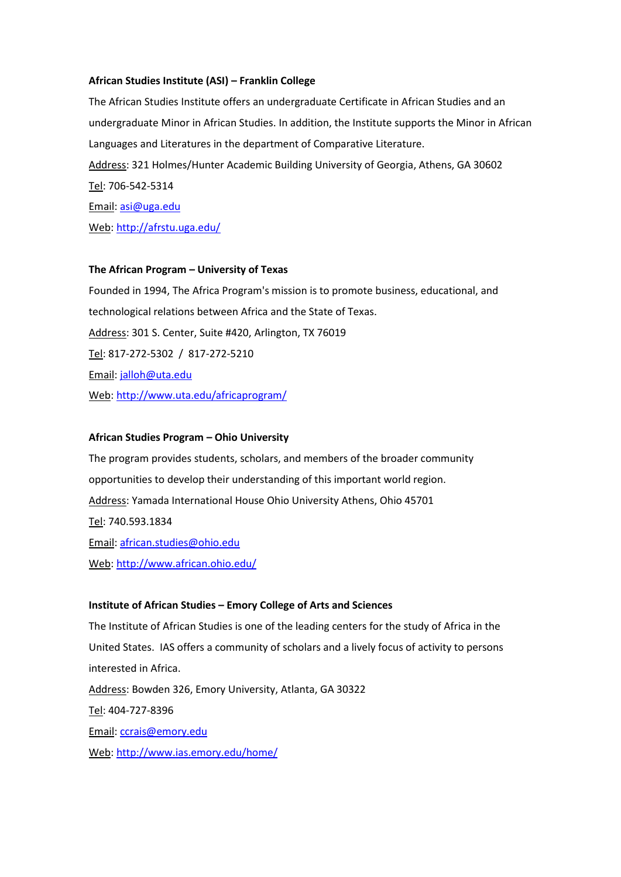## **African Studies Institute (ASI) – Franklin College**

The African Studies Institute offers an undergraduate Certificate in African Studies and an undergraduate Minor in African Studies. In addition, the Institute supports the Minor in African Languages and Literatures in the department of Comparative Literature. Address: 321 Holmes/Hunter Academic Building University of Georgia, Athens, GA 30602 Tel: 706-542-5314 Email: [asi@uga.edu](mailto:asi@uga.edu) Web[: http://afrstu.uga.edu/](http://afrstu.uga.edu/)

#### **The African Program – University of Texas**

Founded in 1994, The Africa Program's mission is to promote business, educational, and technological relations between Africa and the State of Texas. Address: 301 S. Center, Suite #420, Arlington, TX 76019 Tel: 817-272-5302 / 817-272-5210 Email: [jalloh@uta.edu](mailto:jalloh@uta.edu) Web[: http://www.uta.edu/africaprogram/](http://www.uta.edu/africaprogram/)

#### **African Studies Program – Ohio University**

The program provides students, scholars, and members of the broader community opportunities to develop their understanding of this important world region. Address: Yamada International House Ohio University Athens, Ohio 45701 Tel: 740.593.1834 Email: [african.studies@ohio.edu](mailto:african.studies@ohio.edu) Web[: http://www.african.ohio.edu/](http://www.african.ohio.edu/)

#### **Institute of African Studies – Emory College of Arts and Sciences**

The Institute of African Studies is one of the leading centers for the study of Africa in the United States. IAS offers a community of scholars and a lively focus of activity to persons interested in Africa. Address: Bowden 326, Emory University, Atlanta, GA 30322 Tel: 404-727-8396 Email: [ccrais@emory.edu](mailto:ccrais@emory.edu) Web[: http://www.ias.emory.edu/home/](http://www.ias.emory.edu/home/)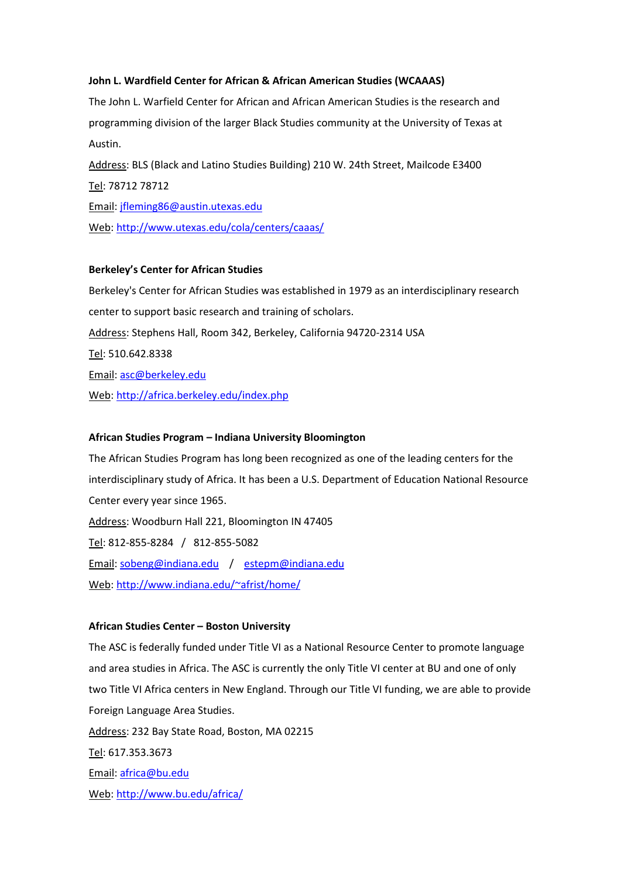## **John L. Wardfield Center for African & African American Studies (WCAAAS)**

The John L. Warfield Center for African and African American Studies is the research and programming division of the larger Black Studies community at the University of Texas at Austin.

Address: BLS (Black and Latino Studies Building) 210 W. 24th Street, Mailcode E3400 Tel: 78712 78712 Email: [jfleming86@austin.utexas.edu](mailto:jfleming86@austin.utexas.edu) Web[: http://www.utexas.edu/cola/centers/caaas/](http://www.utexas.edu/cola/centers/caaas/)

## **Berkeley's Center for African Studies**

Berkeley's Center for African Studies was established in 1979 as an interdisciplinary research center to support basic research and training of scholars. Address: Stephens Hall, Room 342, Berkeley, California 94720-2314 USA Tel: 510.642.8338 Email: [asc@berkeley.edu](mailto:asc@berkeley.edu) Web[: http://africa.berkeley.edu/index.php](http://africa.berkeley.edu/index.php)

## **African Studies Program – Indiana University Bloomington**

The African Studies Program has long been recognized as one of the leading centers for the interdisciplinary study of Africa. It has been a U.S. Department of Education National Resource Center every year since 1965. Address: Woodburn Hall 221, Bloomington IN 47405 Tel: 812-855-8284 / 812-855-5082 Email: [sobeng@indiana.edu](mailto:sobeng@indiana.edu) / [estepm@indiana.edu](mailto:estepm@indiana.edu) Web[: http://www.indiana.edu/~afrist/home/](http://www.indiana.edu/~afrist/home/)

## **African Studies Center – Boston University**

The ASC is federally funded under Title VI as a National Resource Center to promote language and area studies in Africa. The ASC is currently the only Title VI center at BU and one of only two Title VI Africa centers in New England. Through our Title VI funding, we are able to provide Foreign Language Area Studies. Address: 232 Bay State Road, Boston, MA 02215 Tel: 617.353.3673 Email: [africa@bu.edu](mailto:africa@bu.edu) Web[: http://www.bu.edu/africa/](http://www.bu.edu/africa/)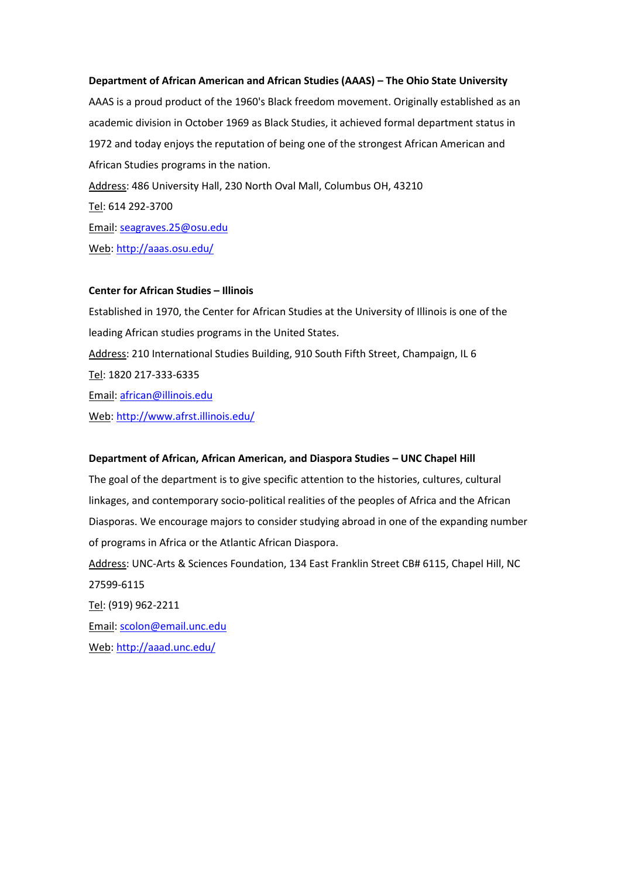#### **Department of African American and African Studies (AAAS) – The Ohio State University**

AAAS is a proud product of the 1960's Black freedom movement. Originally established as an academic division in October 1969 as Black Studies, it achieved formal department status in 1972 and today enjoys the reputation of being one of the strongest African American and African Studies programs in the nation. Address: 486 University Hall, 230 North Oval Mall, Columbus OH, 43210 Tel: 614 292-3700 Email: [seagraves.25@osu.edu](mailto:seagraves.25@osu.edu)

Web[: http://aaas.osu.edu/](http://aaas.osu.edu/)

## **Center for African Studies – Illinois**

Established in 1970, the Center for African Studies at the University of Illinois is one of the leading African studies programs in the United States. Address: 210 International Studies Building, 910 South Fifth Street, Champaign, IL 6 Tel: 1820 217-333-6335 Email: [african@illinois.edu](mailto:african@illinois.edu) Web[: http://www.afrst.illinois.edu/](http://www.afrst.illinois.edu/)

#### **Department of African, African American, and Diaspora Studies – UNC Chapel Hill**

The goal of the department is to give specific attention to the histories, cultures, cultural linkages, and contemporary socio-political realities of the peoples of Africa and the African Diasporas. We encourage majors to consider studying abroad in one of the expanding number of programs in Africa or the Atlantic African Diaspora.

Address: UNC-Arts & Sciences Foundation, 134 East Franklin Street CB# 6115, Chapel Hill, NC 27599-6115 Tel: (919) 962-2211 Email: [scolon@email.unc.edu](mailto:scolon@email.unc.edu)

Web[: http://aaad.unc.edu/](http://aaad.unc.edu/)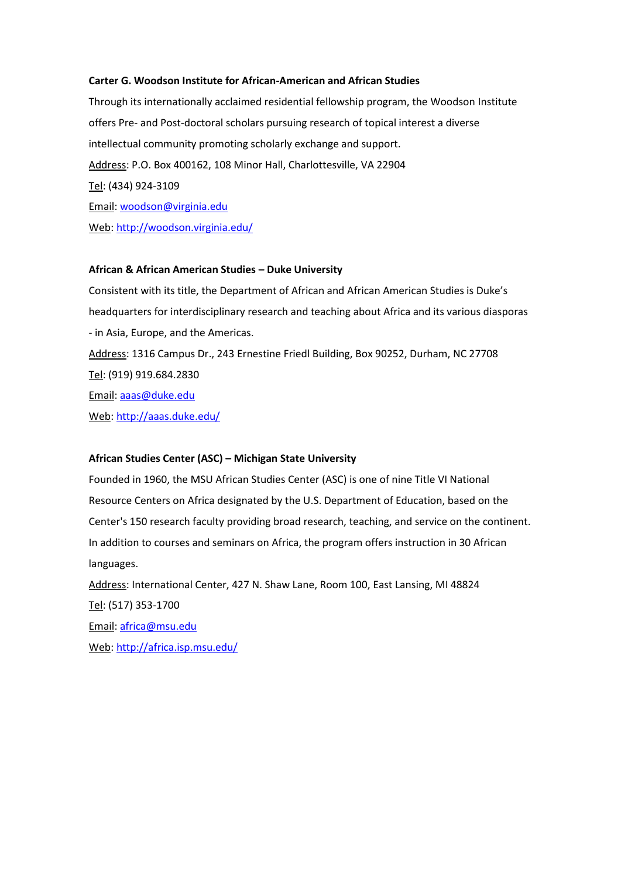#### **Carter G. Woodson Institute for African-American and African Studies**

Through its internationally acclaimed residential fellowship program, the Woodson Institute offers Pre- and Post-doctoral scholars pursuing research of topical interest a diverse intellectual community promoting scholarly exchange and support. Address: P.O. Box 400162, 108 Minor Hall, Charlottesville, VA 22904 Tel: (434) 924-3109 Email: [woodson@virginia.edu](mailto:woodson@virginia.edu) Web[: http://woodson.virginia.edu/](http://woodson.virginia.edu/)

## **African & African American Studies – Duke University**

Consistent with its title, the Department of African and African American Studies is Duke's headquarters for interdisciplinary research and teaching about Africa and its various diasporas - in Asia, Europe, and the Americas. Address: 1316 Campus Dr., 243 Ernestine Friedl Building, Box 90252, Durham, NC 27708 Tel: (919) 919.684.2830 Email: [aaas@duke.edu](mailto:aaas@duke.edu) Web[: http://aaas.duke.edu/](http://aaas.duke.edu/)

## **African Studies Center (ASC) – Michigan State University**

Founded in 1960, the MSU African Studies Center (ASC) is one of nine Title VI National Resource Centers on Africa designated by the U.S. Department of Education, based on the Center's 150 research faculty providing broad research, teaching, and service on the continent. In addition to courses and seminars on Africa, the program offers instruction in 30 African languages.

Address: International Center, 427 N. Shaw Lane, Room 100, East Lansing, MI 48824 Tel: (517) 353-1700 Email: [africa@msu.edu](mailto:%20africa@msu.edu) Web[: http://africa.isp.msu.edu/](http://africa.isp.msu.edu/)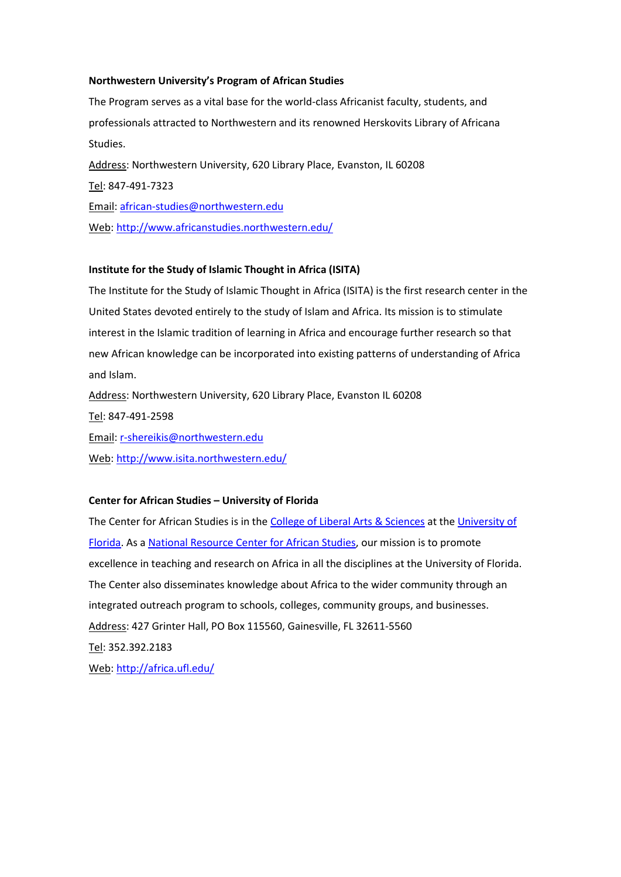## **Northwestern University's Program of African Studies**

The Program serves as a vital base for the world-class Africanist faculty, students, and professionals attracted to Northwestern and its renowned Herskovits Library of Africana Studies. Address: Northwestern University, 620 Library Place, Evanston, IL 60208 Tel: 847-491-7323 Email: [african-studies@northwestern.edu](mailto:african-studies@northwestern.edu) Web[: http://www.africanstudies.northwestern.edu/](http://www.africanstudies.northwestern.edu/)

## **Institute for the Study of Islamic Thought in Africa (ISITA)**

The Institute for the Study of Islamic Thought in Africa (ISITA) is the first research center in the United States devoted entirely to the study of Islam and Africa. Its mission is to stimulate interest in the Islamic tradition of learning in Africa and encourage further research so that new African knowledge can be incorporated into existing patterns of understanding of Africa and Islam.

Address: Northwestern University, 620 Library Place, Evanston IL 60208

Tel: 847-491-2598

Email: [r-shereikis@northwestern.edu](mailto:r-shereikis@northwestern.edu)

Web[: http://www.isita.northwestern.edu/](http://www.isita.northwestern.edu/)

#### **Center for African Studies – University of Florida**

The Center for African Studies is in the [College of Liberal Arts & Sciences](http://www.clas.ufl.edu/) at th[e University of](http://www.ufl.edu/)  [Florida.](http://www.ufl.edu/) As a [National Resource Center for African Studies,](http://www2.ed.gov/about/offices/list/ope/iegps/nrcflas-africamideast.pdf) our mission is to promote excellence in teaching and research on Africa in all the disciplines at the University of Florida. The Center also disseminates knowledge about Africa to the wider community through an integrated outreach program to schools, colleges, community groups, and businesses. Address: 427 Grinter Hall, PO Box 115560, Gainesville, FL 32611-5560 Tel: 352.392.2183 Web[: http://africa.ufl.edu/](http://africa.ufl.edu/)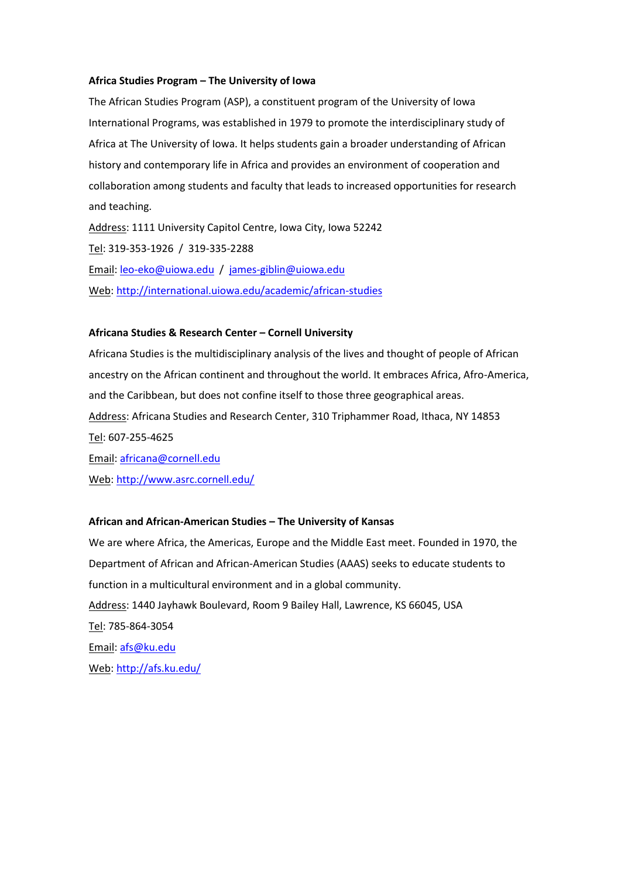#### **Africa Studies Program – The University of Iowa**

The African Studies Program (ASP), a constituent program of the University of Iowa International Programs, was established in 1979 to promote the interdisciplinary study of Africa at The University of Iowa. It helps students gain a broader understanding of African history and contemporary life in Africa and provides an environment of cooperation and collaboration among students and faculty that leads to increased opportunities for research and teaching.

Address: 1111 University Capitol Centre, Iowa City, Iowa 52242 Tel: 319-353-1926 / 319-335-2288 Email: [leo-eko@uiowa.edu](mailto:leo-eko@uiowa.edu) / [james-giblin@uiowa.edu](mailto:james-giblin@uiowa.edu) Web[: http://international.uiowa.edu/academic/african-studies](http://international.uiowa.edu/academic/african-studies)

#### **Africana Studies & Research Center – Cornell University**

Africana Studies is the multidisciplinary analysis of the lives and thought of people of African ancestry on the African continent and throughout the world. It embraces Africa, Afro-America, and the Caribbean, but does not confine itself to those three geographical areas. Address: Africana Studies and Research Center, 310 Triphammer Road, Ithaca, NY 14853 Tel: 607-255-4625 Email: [africana@cornell.edu](mailto:africana@cornell.edu) Web[: http://www.asrc.cornell.edu/](http://www.asrc.cornell.edu/)

#### **African and African-American Studies – The University of Kansas**

We are where Africa, the Americas, Europe and the Middle East meet. Founded in 1970, the Department of African and African-American Studies (AAAS) seeks to educate students to function in a multicultural environment and in a global community. Address: 1440 Jayhawk Boulevard, Room 9 Bailey Hall, Lawrence, KS 66045, USA Tel: 785-864-3054 Email: [afs@ku.edu](mailto:afs@ku.edu) Web[: http://afs.ku.edu/](http://afs.ku.edu/)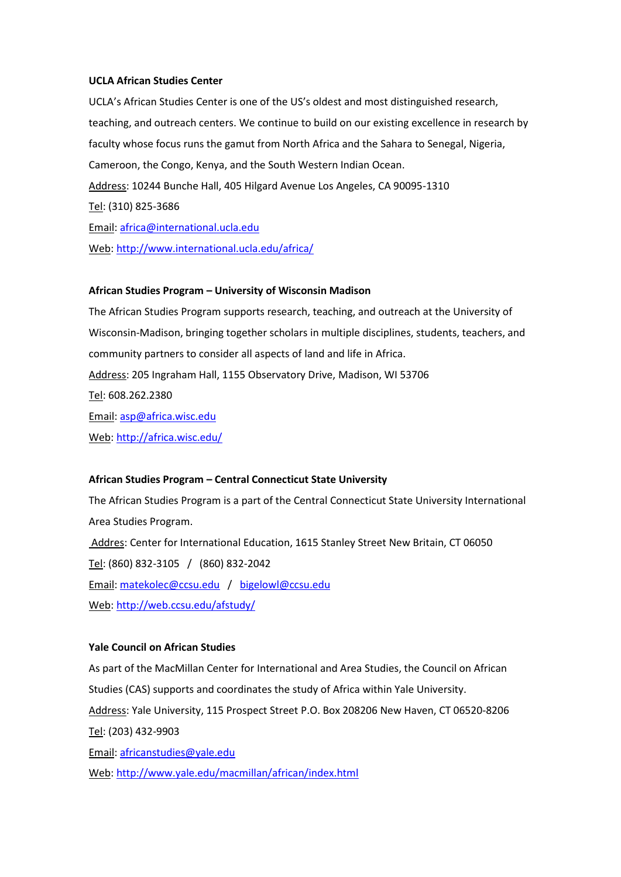## **UCLA African Studies Center**

UCLA's African Studies Center is one of the US's oldest and most distinguished research, teaching, and outreach centers. We continue to build on our existing excellence in research by faculty whose focus runs the gamut from North Africa and the Sahara to Senegal, Nigeria, Cameroon, the Congo, Kenya, and the South Western Indian Ocean. Address: 10244 Bunche Hall, 405 Hilgard Avenue Los Angeles, CA 90095-1310 Tel: (310) 825-3686 Email: [africa@international.ucla.edu](mailto:africa@international.ucla.edu) Web[: http://www.international.ucla.edu/africa/](http://www.international.ucla.edu/africa/)

#### **African Studies Program – University of Wisconsin Madison**

The African Studies Program supports research, teaching, and outreach at the University of Wisconsin-Madison, bringing together scholars in multiple disciplines, students, teachers, and community partners to consider all aspects of land and life in Africa. Address: 205 Ingraham Hall, 1155 Observatory Drive, Madison, WI 53706 Tel: 608.262.2380 Email: [asp@africa.wisc.edu](mailto:asp@africa.wisc.edu) Web[: http://africa.wisc.edu/](http://africa.wisc.edu/)

## **African Studies Program – Central Connecticut State University**

The African Studies Program is a part of the Central Connecticut State University International Area Studies Program. Addres: Center for International Education, 1615 Stanley Street New Britain, CT 06050 Tel: (860) 832-3105 / (860) 832-2042 Email: [matekolec@ccsu.edu](mailto:matekolec@ccsu.edu) / [bigelowl@ccsu.edu](mailto:bigelowl@ccsu.edu) Web[: http://web.ccsu.edu/afstudy/](http://web.ccsu.edu/afstudy/)

#### **Yale Council on African Studies**

As part of the MacMillan Center for International and Area Studies, the Council on African Studies (CAS) supports and coordinates the study of Africa within Yale University. Address: Yale University, 115 Prospect Street P.O. Box 208206 New Haven, CT 06520-8206 Tel: (203) 432-9903 Email: [africanstudies@yale.edu](mailto:africanstudies@yale.edu) Web[: http://www.yale.edu/macmillan/african/index.html](http://www.yale.edu/macmillan/african/index.html)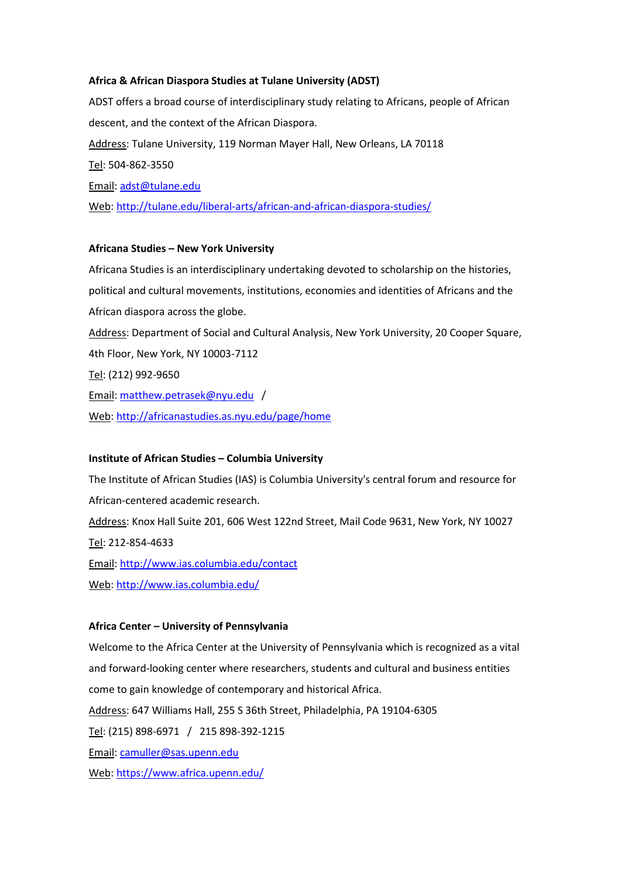## **Africa & African Diaspora Studies at Tulane University (ADST)**

ADST offers a broad course of interdisciplinary study relating to Africans, people of African descent, and the context of the African Diaspora. Address: Tulane University, 119 Norman Mayer Hall, New Orleans, LA 70118 Tel: 504-862-3550 Email: [adst@tulane.edu](mailto:adst@tulane.edu) Web[: http://tulane.edu/liberal-arts/african-and-african-diaspora-studies/](http://tulane.edu/liberal-arts/african-and-african-diaspora-studies/)

## **Africana Studies – New York University**

Africana Studies is an interdisciplinary undertaking devoted to scholarship on the histories, political and cultural movements, institutions, economies and identities of Africans and the African diaspora across the globe. Address: Department of Social and Cultural Analysis, New York University, 20 Cooper Square, 4th Floor, New York, NY 10003-7112 Tel: (212) 992-9650 Email: [matthew.petrasek@nyu.edu](mailto:matthew.petrasek@nyu.edu) / Web[: http://africanastudies.as.nyu.edu/page/home](http://africanastudies.as.nyu.edu/page/home)

#### **Institute of African Studies – Columbia University**

The Institute of African Studies (IAS) is Columbia University's central forum and resource for African-centered academic research. Address: Knox Hall Suite 201, 606 West 122nd Street, Mail Code 9631, New York, NY 10027 Tel: 212-854-4633 Email:<http://www.ias.columbia.edu/contact> Web[: http://www.ias.columbia.edu/](http://www.ias.columbia.edu/)

#### **Africa Center – University of Pennsylvania**

Welcome to the Africa Center at the University of Pennsylvania which is recognized as a vital and forward-looking center where researchers, students and cultural and business entities come to gain knowledge of contemporary and historical Africa. Address: 647 Williams Hall, 255 S 36th Street, Philadelphia, PA 19104-6305 Tel: (215) 898-6971 / 215 898-392-1215 Email: [camuller@sas.upenn.edu](mailto:camuller@sas.upenn.edu) Web[: https://www.africa.upenn.edu/](https://www.africa.upenn.edu/)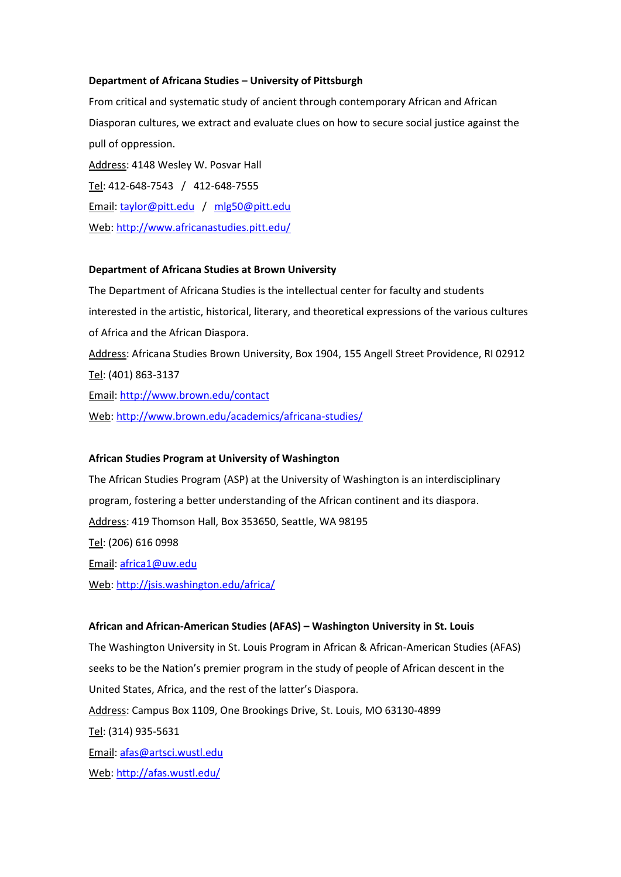## **Department of Africana Studies – University of Pittsburgh**

From critical and systematic study of ancient through contemporary African and African Diasporan cultures, we extract and evaluate clues on how to secure social justice against the pull of oppression. Address: 4148 Wesley W. Posvar Hall Tel: 412-648-7543 / 412-648-7555 Email: [taylor@pitt.edu](mailto:taylor@pitt.edu) / [mlg50@pitt.edu](mailto:mlg50@pitt.edu) Web[: http://www.africanastudies.pitt.edu/](http://www.africanastudies.pitt.edu/)

#### **Department of Africana Studies at Brown University**

The Department of Africana Studies is the intellectual center for faculty and students interested in the artistic, historical, literary, and theoretical expressions of the various cultures of Africa and the African Diaspora. Address: Africana Studies Brown University, Box 1904, 155 Angell Street Providence, RI 02912 Tel: (401) 863-3137 Email:<http://www.brown.edu/contact>

Web[: http://www.brown.edu/academics/africana-studies/](http://www.brown.edu/academics/africana-studies/)

## **African Studies Program at University of Washington**

The African Studies Program (ASP) at the University of Washington is an interdisciplinary program, fostering a better understanding of the African continent and its diaspora. Address: 419 Thomson Hall, Box 353650, Seattle, WA 98195 Tel: (206) 616 0998 Email: [africa1@uw.edu](mailto:africa1@u.washington.edu) Web[: http://jsis.washington.edu/africa/](http://jsis.washington.edu/africa/)

#### **African and African-American Studies (AFAS) – Washington University in St. Louis**

The Washington University in St. Louis Program in African & African-American Studies (AFAS) seeks to be the Nation's premier program in the study of people of African descent in the United States, Africa, and the rest of the latter's Diaspora. Address: Campus Box 1109, One Brookings Drive, St. Louis, MO 63130-4899 Tel: (314) 935-5631 Email: [afas@artsci.wustl.edu](mailto:afas@artsci.wustl.edu) Web[: http://afas.wustl.edu/](http://afas.wustl.edu/)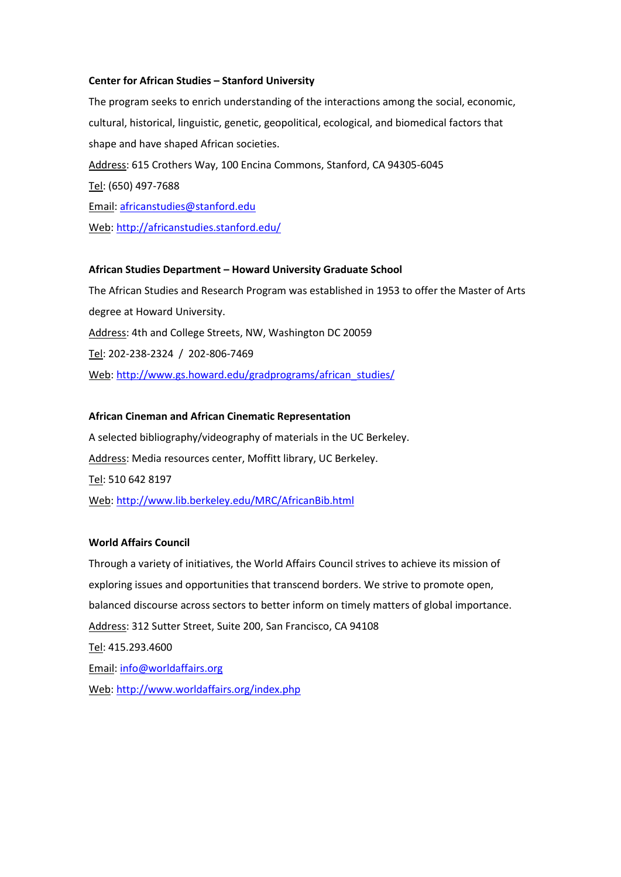## **Center for African Studies – Stanford University**

The program seeks to enrich understanding of the interactions among the social, economic, cultural, historical, linguistic, genetic, geopolitical, ecological, and biomedical factors that shape and have shaped African societies. Address: 615 Crothers Way, 100 Encina Commons, Stanford, CA 94305-6045 Tel: (650) 497-7688 Email: [africanstudies@stanford.edu](mailto:africanstudies@stanford.edu) Web[: http://africanstudies.stanford.edu/](http://africanstudies.stanford.edu/)

## **African Studies Department – Howard University Graduate School**

The African Studies and Research Program was established in 1953 to offer the Master of Arts degree at Howard University. Address: 4th and College Streets, NW, Washington DC 20059 Tel: 202-238-2324 / 202-806-7469 Web[: http://www.gs.howard.edu/gradprograms/african\\_studies/](http://www.gs.howard.edu/gradprograms/african_studies/)

#### **African Cineman and African Cinematic Representation**

A selected bibliography/videography of materials in the UC Berkeley. Address: Media resources center, Moffitt library, UC Berkeley. Tel: 510 642 8197 Web[: http://www.lib.berkeley.edu/MRC/AfricanBib.html](http://www.lib.berkeley.edu/MRC/AfricanBib.html)

#### **World Affairs Council**

Through a variety of initiatives, the World Affairs Council strives to achieve its mission of exploring issues and opportunities that transcend borders. We strive to promote open, balanced discourse across sectors to better inform on timely matters of global importance. Address: 312 Sutter Street, Suite 200, San Francisco, CA 94108 Tel: 415.293.4600 Email: [info@worldaffairs.org](mailto:info@worldaffairs.org) Web[: http://www.worldaffairs.org/index.php](http://www.worldaffairs.org/index.php)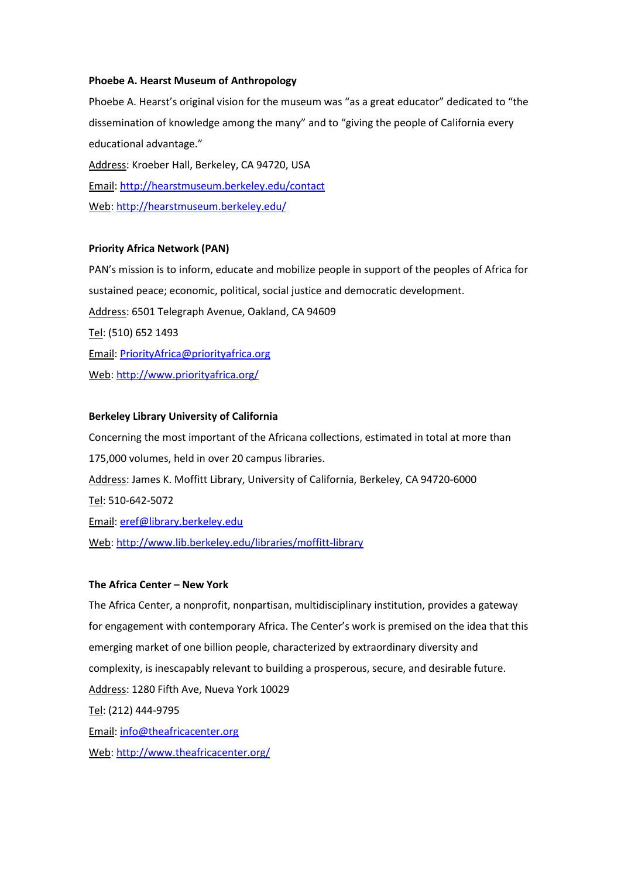## **Phoebe A. Hearst Museum of Anthropology**

Phoebe A. Hearst's original vision for the museum was "as a great educator" dedicated to "the dissemination of knowledge among the many" and to "giving the people of California every educational advantage." Address: Kroeber Hall, Berkeley, CA 94720, USA Email:<http://hearstmuseum.berkeley.edu/contact> Web[: http://hearstmuseum.berkeley.edu/](http://hearstmuseum.berkeley.edu/)

## **Priority Africa Network (PAN)**

PAN's mission is to inform, educate and mobilize people in support of the peoples of Africa for sustained peace; economic, political, social justice and democratic development. Address: 6501 Telegraph Avenue, Oakland, CA 94609 Tel: (510) 652 1493 Email: [PriorityAfrica@priorityafrica.org](mailto:PriorityAfrica@priorityafrica.org) Web[: http://www.priorityafrica.org/](http://www.priorityafrica.org/)

## **Berkeley Library University of California**

Concerning the most important of the Africana collections, estimated in total at more than 175,000 volumes, held in over 20 campus libraries. Address: James K. Moffitt Library, University of California, Berkeley, CA 94720-6000 Tel: 510-642-5072 Email: [eref@library.berkeley.edu](mailto:eref@library.berkeley.edu) Web[: http://www.lib.berkeley.edu/libraries/moffitt-library](http://www.lib.berkeley.edu/libraries/moffitt-library)

## **The Africa Center – New York**

The Africa Center, a nonprofit, nonpartisan, multidisciplinary institution, provides a gateway for engagement with contemporary Africa. The Center's work is premised on the idea that this emerging market of one billion people, characterized by extraordinary diversity and complexity, is inescapably relevant to building a prosperous, secure, and desirable future. Address: 1280 Fifth Ave, Nueva York 10029 Tel: (212) 444-9795 Email: [info@theafricacenter.org](mailto:info@theafricacenter.org) Web[: http://www.theafricacenter.org/](http://www.theafricacenter.org/)